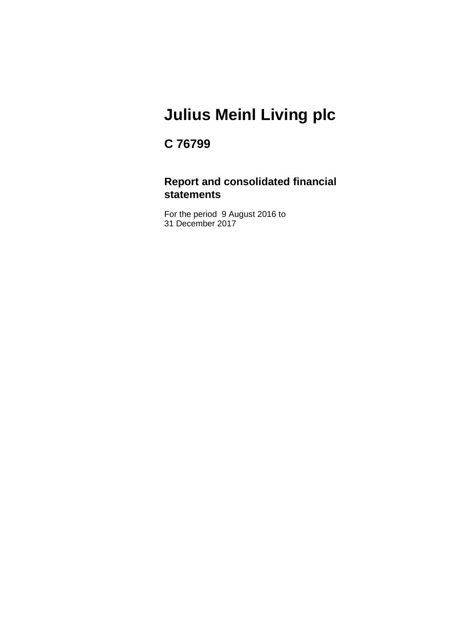### **C 76799**

### **Report and consolidated financial statements**

For the period 9 August 2016 to 31 December 2017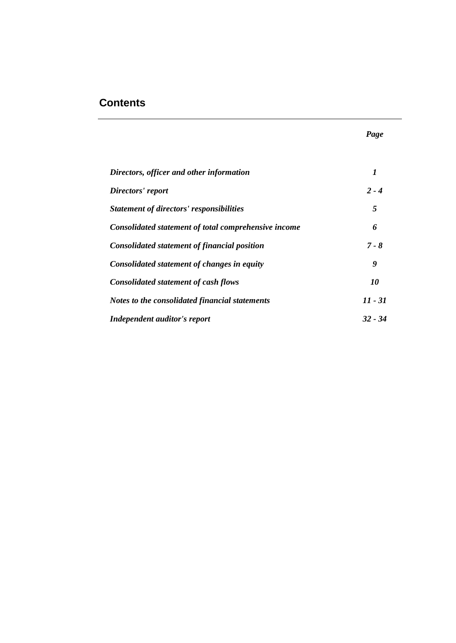### **Contents**

| Directors, officer and other information             | 1         |
|------------------------------------------------------|-----------|
| Directors' report                                    | $2 - 4$   |
| <b>Statement of directors' responsibilities</b>      | 5         |
| Consolidated statement of total comprehensive income | 6         |
| <b>Consolidated statement of financial position</b>  | $7 - 8$   |
| Consolidated statement of changes in equity          | 9         |
| <b>Consolidated statement of cash flows</b>          | 10        |
| Notes to the consolidated financial statements       | $11 - 31$ |
| Independent auditor's report                         | $32 - 34$ |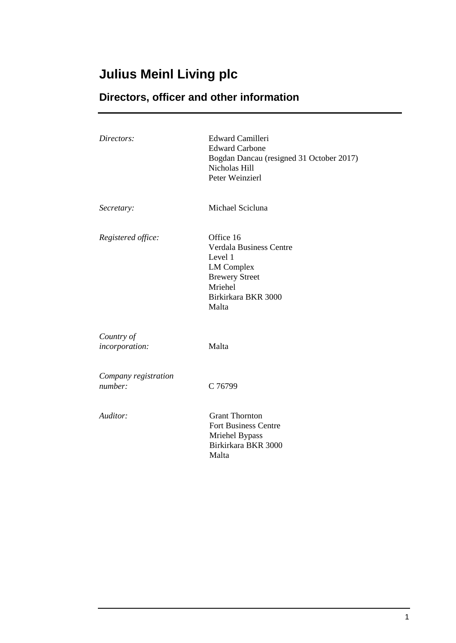### **Directors, officer and other information**

| Directors:                      | <b>Edward Camilleri</b><br><b>Edward Carbone</b><br>Bogdan Dancau (resigned 31 October 2017)<br>Nicholas Hill<br>Peter Weinzierl                |
|---------------------------------|-------------------------------------------------------------------------------------------------------------------------------------------------|
| Secretary:                      | Michael Scicluna                                                                                                                                |
| Registered office:              | Office 16<br><b>Verdala Business Centre</b><br>Level 1<br><b>LM</b> Complex<br><b>Brewery Street</b><br>Mriehel<br>Birkirkara BKR 3000<br>Malta |
| Country of<br>incorporation:    | Malta                                                                                                                                           |
| Company registration<br>number: | C 76799                                                                                                                                         |
| Auditor:                        | <b>Grant Thornton</b><br>Fort Business Centre<br>Mriehel Bypass<br>Birkirkara BKR 3000<br>Malta                                                 |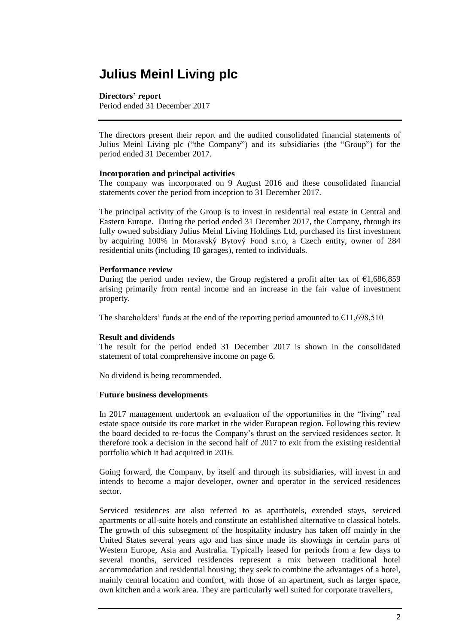### **Directors' report**

Period ended 31 December 2017

The directors present their report and the audited consolidated financial statements of Julius Meinl Living plc ("the Company") and its subsidiaries (the "Group") for the period ended 31 December 2017.

### **Incorporation and principal activities**

The company was incorporated on 9 August 2016 and these consolidated financial statements cover the period from inception to 31 December 2017.

The principal activity of the Group is to invest in residential real estate in Central and Eastern Europe. During the period ended 31 December 2017, the Company, through its fully owned subsidiary Julius Meinl Living Holdings Ltd, purchased its first investment by acquiring 100% in Moravský Bytový Fond s.r.o, a Czech entity, owner of 284 residential units (including 10 garages), rented to individuals.

### **Performance review**

During the period under review, the Group registered a profit after tax of  $\epsilon$ 1,686,859 arising primarily from rental income and an increase in the fair value of investment property.

The shareholders' funds at the end of the reporting period amounted to  $\epsilon$ 11,698,510

### **Result and dividends**

The result for the period ended 31 December 2017 is shown in the consolidated statement of total comprehensive income on page 6.

No dividend is being recommended.

### **Future business developments**

In 2017 management undertook an evaluation of the opportunities in the "living" real estate space outside its core market in the wider European region. Following this review the board decided to re-focus the Company's thrust on the serviced residences sector. It therefore took a decision in the second half of 2017 to exit from the existing residential portfolio which it had acquired in 2016.

Going forward, the Company, by itself and through its subsidiaries, will invest in and intends to become a major developer, owner and operator in the serviced residences sector.

Serviced residences are also referred to as aparthotels, extended stays, serviced apartments or all-suite hotels and constitute an established alternative to classical hotels. The growth of this subsegment of the hospitality industry has taken off mainly in the United States several years ago and has since made its showings in certain parts of Western Europe, Asia and Australia. Typically leased for periods from a few days to several months, serviced residences represent a mix between traditional hotel accommodation and residential housing; they seek to combine the advantages of a hotel, mainly central location and comfort, with those of an apartment, such as larger space, own kitchen and a work area. They are particularly well suited for corporate travellers,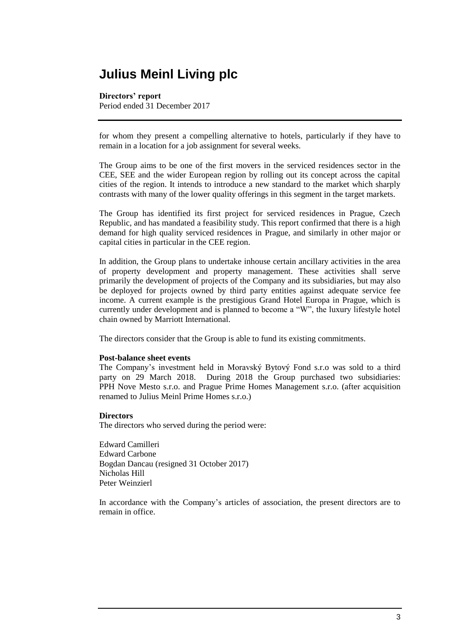#### **Directors' report**

Period ended 31 December 2017

for whom they present a compelling alternative to hotels, particularly if they have to remain in a location for a job assignment for several weeks.

The Group aims to be one of the first movers in the serviced residences sector in the CEE, SEE and the wider European region by rolling out its concept across the capital cities of the region. It intends to introduce a new standard to the market which sharply contrasts with many of the lower quality offerings in this segment in the target markets.

The Group has identified its first project for serviced residences in Prague, Czech Republic, and has mandated a feasibility study. This report confirmed that there is a high demand for high quality serviced residences in Prague, and similarly in other major or capital cities in particular in the CEE region.

In addition, the Group plans to undertake inhouse certain ancillary activities in the area of property development and property management. These activities shall serve primarily the development of projects of the Company and its subsidiaries, but may also be deployed for projects owned by third party entities against adequate service fee income. A current example is the prestigious Grand Hotel Europa in Prague, which is currently under development and is planned to become a "W", the luxury lifestyle hotel chain owned by Marriott International.

The directors consider that the Group is able to fund its existing commitments.

#### **Post-balance sheet events**

The Company's investment held in Moravský Bytový Fond s.r.o was sold to a third party on 29 March 2018. During 2018 the Group purchased two subsidiaries: PPH Nove Mesto s.r.o. and Prague Prime Homes Management s.r.o. (after acquisition renamed to Julius Meinl Prime Homes s.r.o.)

#### **Directors**

The directors who served during the period were:

Edward Camilleri Edward Carbone Bogdan Dancau (resigned 31 October 2017) Nicholas Hill Peter Weinzierl

In accordance with the Company's articles of association, the present directors are to remain in office.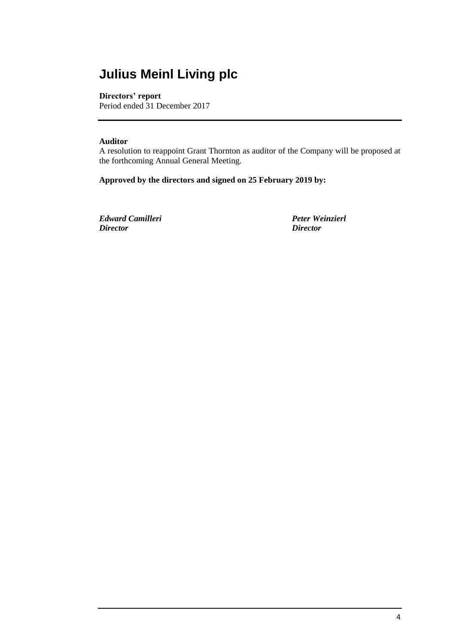### **Directors' report**

Period ended 31 December 2017

### **Auditor**

A resolution to reappoint Grant Thornton as auditor of the Company will be proposed at the forthcoming Annual General Meeting.

**Approved by the directors and signed on 25 February 2019 by:**

*Edward Camilleri Peter Weinzierl Director Director*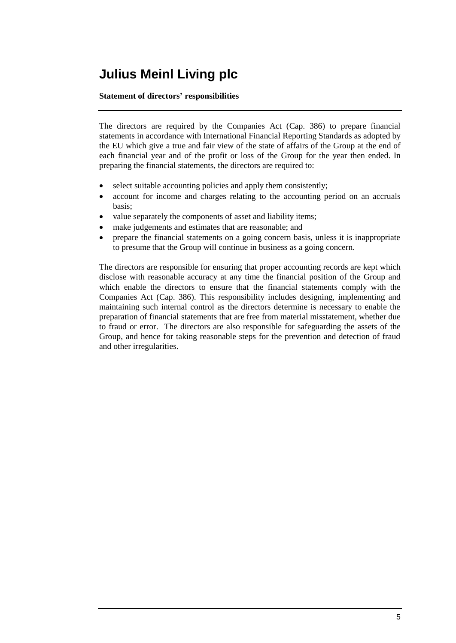### **Statement of directors' responsibilities**

The directors are required by the Companies Act (Cap. 386) to prepare financial statements in accordance with International Financial Reporting Standards as adopted by the EU which give a true and fair view of the state of affairs of the Group at the end of each financial year and of the profit or loss of the Group for the year then ended. In preparing the financial statements, the directors are required to:

- select suitable accounting policies and apply them consistently;
- account for income and charges relating to the accounting period on an accruals basis;
- value separately the components of asset and liability items;
- make judgements and estimates that are reasonable; and
- prepare the financial statements on a going concern basis, unless it is inappropriate to presume that the Group will continue in business as a going concern.

The directors are responsible for ensuring that proper accounting records are kept which disclose with reasonable accuracy at any time the financial position of the Group and which enable the directors to ensure that the financial statements comply with the Companies Act (Cap. 386). This responsibility includes designing, implementing and maintaining such internal control as the directors determine is necessary to enable the preparation of financial statements that are free from material misstatement, whether due to fraud or error. The directors are also responsible for safeguarding the assets of the Group, and hence for taking reasonable steps for the prevention and detection of fraud and other irregularities.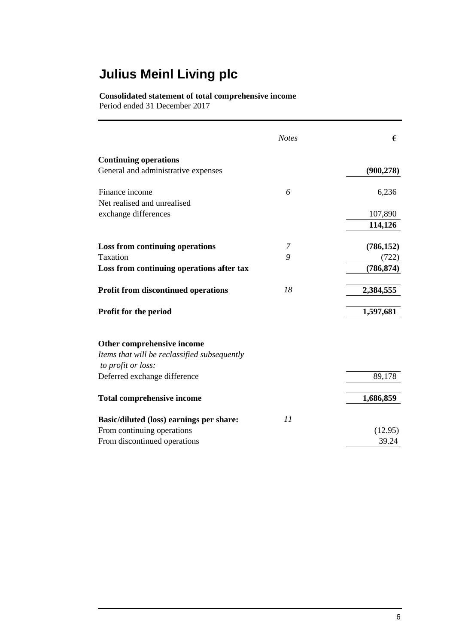### **Consolidated statement of total comprehensive income**

Period ended 31 December 2017

|                                              | <b>Notes</b> | €          |
|----------------------------------------------|--------------|------------|
| <b>Continuing operations</b>                 |              |            |
| General and administrative expenses          |              | (900, 278) |
| Finance income                               | 6            | 6,236      |
| Net realised and unrealised                  |              |            |
| exchange differences                         |              | 107,890    |
|                                              |              | 114,126    |
| <b>Loss from continuing operations</b>       | 7            | (786, 152) |
| Taxation                                     | 9            | (722)      |
| Loss from continuing operations after tax    |              | (786, 874) |
| <b>Profit from discontinued operations</b>   | 18           | 2,384,555  |
| <b>Profit for the period</b>                 |              | 1,597,681  |
| Other comprehensive income                   |              |            |
| Items that will be reclassified subsequently |              |            |
| to profit or loss:                           |              |            |
| Deferred exchange difference                 |              | 89,178     |
| <b>Total comprehensive income</b>            |              | 1,686,859  |
| Basic/diluted (loss) earnings per share:     | 11           |            |
| From continuing operations                   |              | (12.95)    |
| From discontinued operations                 |              | 39.24      |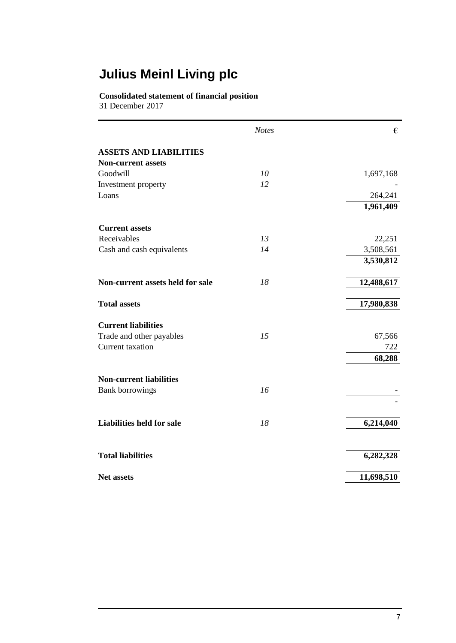### **Consolidated statement of financial position**

31 December 2017

|                                  | <b>Notes</b> | €          |
|----------------------------------|--------------|------------|
| <b>ASSETS AND LIABILITIES</b>    |              |            |
| <b>Non-current assets</b>        |              |            |
| Goodwill                         | 10           | 1,697,168  |
| Investment property              | 12           |            |
| Loans                            |              | 264,241    |
|                                  |              | 1,961,409  |
| <b>Current assets</b>            |              |            |
| Receivables                      | 13           | 22,251     |
| Cash and cash equivalents        | 14           | 3,508,561  |
|                                  |              | 3,530,812  |
| Non-current assets held for sale | 18           | 12,488,617 |
| <b>Total assets</b>              |              | 17,980,838 |
| <b>Current liabilities</b>       |              |            |
| Trade and other payables         | 15           | 67,566     |
| Current taxation                 |              | 722        |
|                                  |              | 68,288     |
| <b>Non-current liabilities</b>   |              |            |
| <b>Bank borrowings</b>           | 16           |            |
|                                  |              |            |
| <b>Liabilities held for sale</b> | 18           | 6,214,040  |
| <b>Total liabilities</b>         |              | 6,282,328  |
| <b>Net assets</b>                |              | 11,698,510 |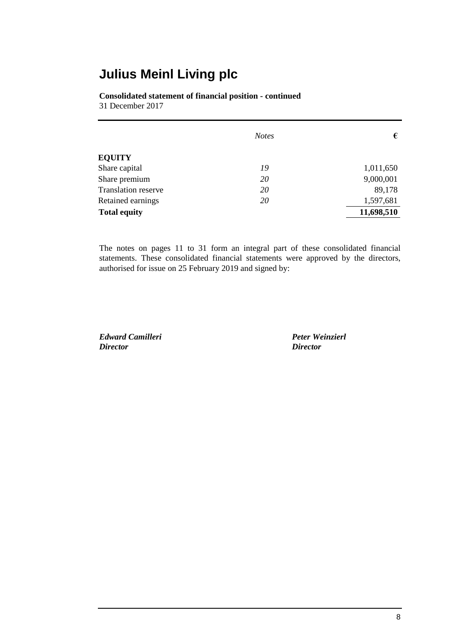**Consolidated statement of financial position - continued** 31 December 2017

|                     | <b>Notes</b> | €          |
|---------------------|--------------|------------|
| <b>EQUITY</b>       |              |            |
| Share capital       | 19           | 1,011,650  |
| Share premium       | 20           | 9,000,001  |
| Translation reserve | 20           | 89,178     |
| Retained earnings   | 20           | 1,597,681  |
| <b>Total equity</b> |              | 11,698,510 |

The notes on pages 11 to 31 form an integral part of these consolidated financial statements. These consolidated financial statements were approved by the directors, authorised for issue on 25 February 2019 and signed by:

*Edward Camilleri Peter Weinzierl Director Director*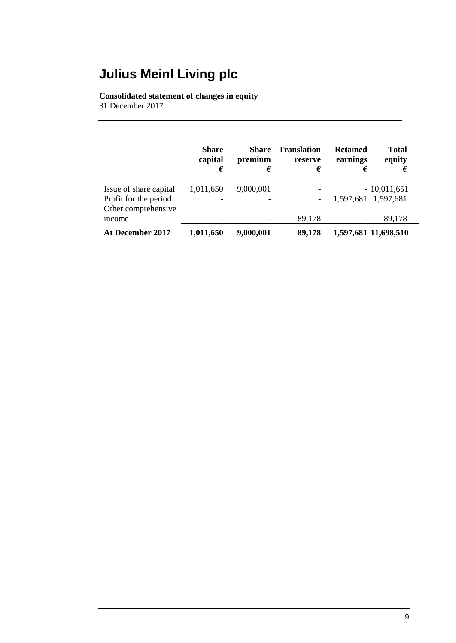### **Consolidated statement of changes in equity**

31 December 2017

|                                                                        | <b>Share</b><br>capital<br>€          | Share<br>premium<br>€ | <b>Translation</b><br>reserve<br>€ | <b>Retained</b><br>earnings<br>€ | <b>Total</b><br>equity<br>€ |
|------------------------------------------------------------------------|---------------------------------------|-----------------------|------------------------------------|----------------------------------|-----------------------------|
| Issue of share capital<br>Profit for the period<br>Other comprehensive | 1,011,650<br>$\overline{\phantom{a}}$ | 9,000,001             | -<br>$\overline{\phantom{a}}$      | 1,597,681 1,597,681              | $-10,011,651$               |
| <i>ncome</i>                                                           |                                       |                       | 89,178                             | -                                | 89,178                      |
| At December 2017                                                       | 1,011,650                             | 9,000,001             | 89,178                             | 1,597,681 11,698,510             |                             |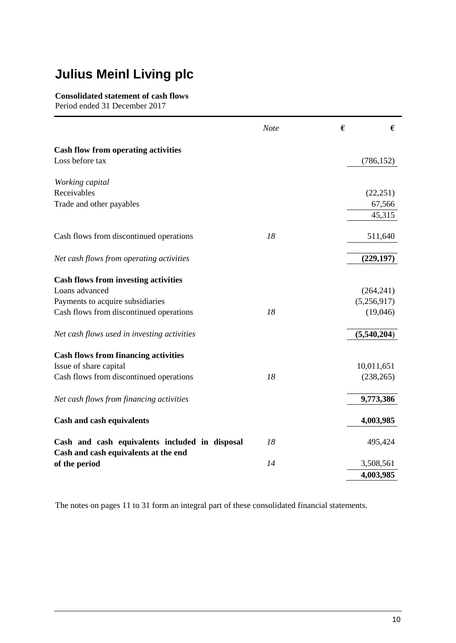### **Consolidated statement of cash flows**

Period ended 31 December 2017

|                                                                                        | <b>Note</b> | € | €           |
|----------------------------------------------------------------------------------------|-------------|---|-------------|
| <b>Cash flow from operating activities</b>                                             |             |   |             |
| Loss before tax                                                                        |             |   | (786, 152)  |
| Working capital                                                                        |             |   |             |
| Receivables                                                                            |             |   | (22, 251)   |
| Trade and other payables                                                               |             |   | 67,566      |
|                                                                                        |             |   | 45,315      |
| Cash flows from discontinued operations                                                | 18          |   | 511,640     |
| Net cash flows from operating activities                                               |             |   | (229, 197)  |
| <b>Cash flows from investing activities</b>                                            |             |   |             |
| Loans advanced                                                                         |             |   | (264, 241)  |
| Payments to acquire subsidiaries                                                       |             |   | (5,256,917) |
| Cash flows from discontinued operations                                                | 18          |   | (19,046)    |
| Net cash flows used in investing activities                                            |             |   | (5,540,204) |
| <b>Cash flows from financing activities</b>                                            |             |   |             |
| Issue of share capital                                                                 |             |   | 10,011,651  |
| Cash flows from discontinued operations                                                | 18          |   | (238, 265)  |
| Net cash flows from financing activities                                               |             |   | 9,773,386   |
| <b>Cash and cash equivalents</b>                                                       |             |   | 4,003,985   |
| Cash and cash equivalents included in disposal<br>Cash and cash equivalents at the end | 18          |   | 495,424     |
| of the period                                                                          | 14          |   | 3,508,561   |
|                                                                                        |             |   | 4,003,985   |

The notes on pages 11 to 31 form an integral part of these consolidated financial statements.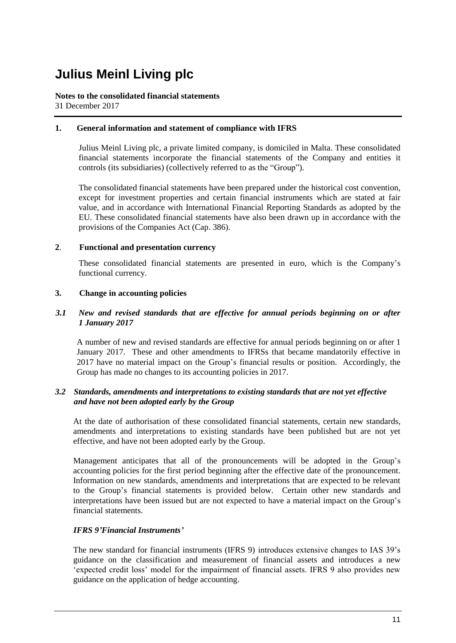### **Notes to the consolidated financial statements** 31 December 2017

### **1. General information and statement of compliance with IFRS**

Julius Meinl Living plc, a private limited company, is domiciled in Malta. These consolidated financial statements incorporate the financial statements of the Company and entities it controls (its subsidiaries) (collectively referred to as the "Group").

The consolidated financial statements have been prepared under the historical cost convention, except for investment properties and certain financial instruments which are stated at fair value, and in accordance with International Financial Reporting Standards as adopted by the EU. These consolidated financial statements have also been drawn up in accordance with the provisions of the Companies Act (Cap. 386).

### **2**. **Functional and presentation currency**

These consolidated financial statements are presented in euro, which is the Company's functional currency.

### **3. Change in accounting policies**

### *3.1 New and revised standards that are effective for annual periods beginning on or after 1 January 2017*

A number of new and revised standards are effective for annual periods beginning on or after 1 January 2017. These and other amendments to IFRSs that became mandatorily effective in 2017 have no material impact on the Group's financial results or position. Accordingly, the Group has made no changes to its accounting policies in 2017.

### *3.2 Standards, amendments and interpretations to existing standards that are not yet effective and have not been adopted early by the Group*

At the date of authorisation of these consolidated financial statements, certain new standards, amendments and interpretations to existing standards have been published but are not yet effective, and have not been adopted early by the Group.

Management anticipates that all of the pronouncements will be adopted in the Group's accounting policies for the first period beginning after the effective date of the pronouncement. Information on new standards, amendments and interpretations that are expected to be relevant to the Group's financial statements is provided below. Certain other new standards and interpretations have been issued but are not expected to have a material impact on the Group's financial statements.

### *IFRS 9'Financial Instruments'*

The new standard for financial instruments (IFRS 9) introduces extensive changes to IAS 39's guidance on the classification and measurement of financial assets and introduces a new 'expected credit loss' model for the impairment of financial assets. IFRS 9 also provides new guidance on the application of hedge accounting.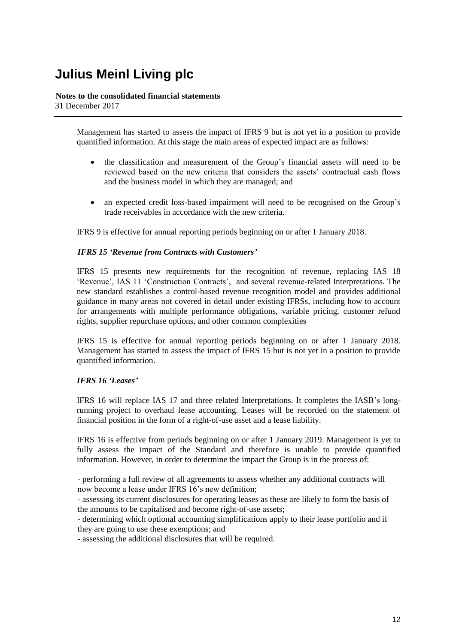### **Notes to the consolidated financial statements**

31 December 2017

Management has started to assess the impact of IFRS 9 but is not yet in a position to provide quantified information. At this stage the main areas of expected impact are as follows:

- the classification and measurement of the Group's financial assets will need to be reviewed based on the new criteria that considers the assets' contractual cash flows and the business model in which they are managed; and
- an expected credit loss-based impairment will need to be recognised on the Group's trade receivables in accordance with the new criteria.

IFRS 9 is effective for annual reporting periods beginning on or after 1 January 2018.

### *IFRS 15 'Revenue from Contracts with Customers'*

IFRS 15 presents new requirements for the recognition of revenue, replacing IAS 18 'Revenue', IAS 11 'Construction Contracts', and several revenue-related Interpretations. The new standard establishes a control-based revenue recognition model and provides additional guidance in many areas not covered in detail under existing IFRSs, including how to account for arrangements with multiple performance obligations, variable pricing, customer refund rights, supplier repurchase options, and other common complexities

IFRS 15 is effective for annual reporting periods beginning on or after 1 January 2018. Management has started to assess the impact of IFRS 15 but is not yet in a position to provide quantified information.

### *IFRS 16 'Leases'*

IFRS 16 will replace IAS 17 and three related Interpretations. It completes the IASB's longrunning project to overhaul lease accounting. Leases will be recorded on the statement of financial position in the form of a right-of-use asset and a lease liability.

IFRS 16 is effective from periods beginning on or after 1 January 2019. Management is yet to fully assess the impact of the Standard and therefore is unable to provide quantified information. However, in order to determine the impact the Group is in the process of:

- performing a full review of all agreements to assess whether any additional contracts will now become a lease under IFRS 16's new definition;

- assessing its current disclosures for operating leases as these are likely to form the basis of the amounts to be capitalised and become right-of-use assets;

- determining which optional accounting simplifications apply to their lease portfolio and if they are going to use these exemptions; and

- assessing the additional disclosures that will be required.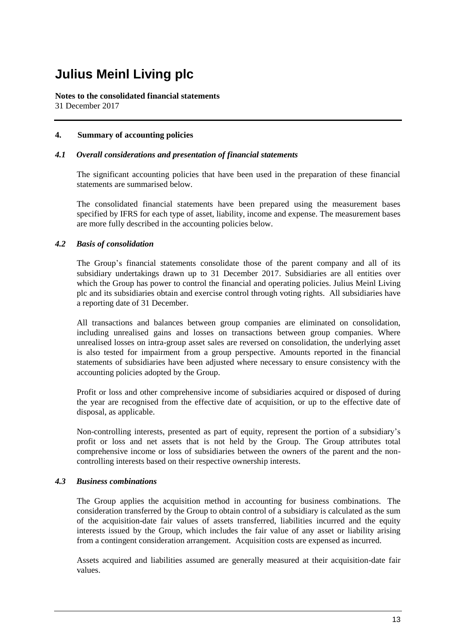**Notes to the consolidated financial statements** 31 December 2017

### **4. Summary of accounting policies**

### *4.1 Overall considerations and presentation of financial statements*

The significant accounting policies that have been used in the preparation of these financial statements are summarised below.

The consolidated financial statements have been prepared using the measurement bases specified by IFRS for each type of asset, liability, income and expense. The measurement bases are more fully described in the accounting policies below.

### *4.2 Basis of consolidation*

The Group's financial statements consolidate those of the parent company and all of its subsidiary undertakings drawn up to 31 December 2017. Subsidiaries are all entities over which the Group has power to control the financial and operating policies. Julius Meinl Living plc and its subsidiaries obtain and exercise control through voting rights. All subsidiaries have a reporting date of 31 December.

All transactions and balances between group companies are eliminated on consolidation, including unrealised gains and losses on transactions between group companies. Where unrealised losses on intra-group asset sales are reversed on consolidation, the underlying asset is also tested for impairment from a group perspective. Amounts reported in the financial statements of subsidiaries have been adjusted where necessary to ensure consistency with the accounting policies adopted by the Group.

Profit or loss and other comprehensive income of subsidiaries acquired or disposed of during the year are recognised from the effective date of acquisition, or up to the effective date of disposal, as applicable.

Non-controlling interests, presented as part of equity, represent the portion of a subsidiary's profit or loss and net assets that is not held by the Group. The Group attributes total comprehensive income or loss of subsidiaries between the owners of the parent and the noncontrolling interests based on their respective ownership interests.

### *4.3 Business combinations*

The Group applies the acquisition method in accounting for business combinations. The consideration transferred by the Group to obtain control of a subsidiary is calculated as the sum of the acquisition-date fair values of assets transferred, liabilities incurred and the equity interests issued by the Group, which includes the fair value of any asset or liability arising from a contingent consideration arrangement. Acquisition costs are expensed as incurred.

Assets acquired and liabilities assumed are generally measured at their acquisition-date fair values.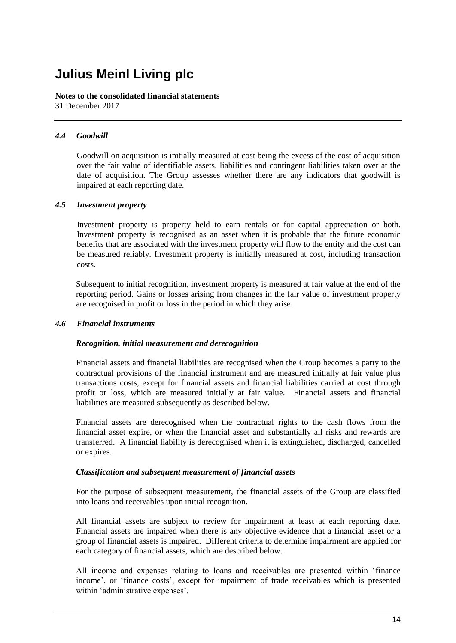**Notes to the consolidated financial statements** 31 December 2017

### *4.4 Goodwill*

Goodwill on acquisition is initially measured at cost being the excess of the cost of acquisition over the fair value of identifiable assets, liabilities and contingent liabilities taken over at the date of acquisition. The Group assesses whether there are any indicators that goodwill is impaired at each reporting date.

### *4.5 Investment property*

Investment property is property held to earn rentals or for capital appreciation or both. Investment property is recognised as an asset when it is probable that the future economic benefits that are associated with the investment property will flow to the entity and the cost can be measured reliably. Investment property is initially measured at cost, including transaction costs.

Subsequent to initial recognition, investment property is measured at fair value at the end of the reporting period. Gains or losses arising from changes in the fair value of investment property are recognised in profit or loss in the period in which they arise.

### *4.6 Financial instruments*

### *Recognition, initial measurement and derecognition*

Financial assets and financial liabilities are recognised when the Group becomes a party to the contractual provisions of the financial instrument and are measured initially at fair value plus transactions costs, except for financial assets and financial liabilities carried at cost through profit or loss, which are measured initially at fair value. Financial assets and financial liabilities are measured subsequently as described below.

Financial assets are derecognised when the contractual rights to the cash flows from the financial asset expire, or when the financial asset and substantially all risks and rewards are transferred. A financial liability is derecognised when it is extinguished, discharged, cancelled or expires.

### *Classification and subsequent measurement of financial assets*

For the purpose of subsequent measurement, the financial assets of the Group are classified into loans and receivables upon initial recognition.

All financial assets are subject to review for impairment at least at each reporting date. Financial assets are impaired when there is any objective evidence that a financial asset or a group of financial assets is impaired. Different criteria to determine impairment are applied for each category of financial assets, which are described below.

All income and expenses relating to loans and receivables are presented within 'finance income', or 'finance costs', except for impairment of trade receivables which is presented within 'administrative expenses'.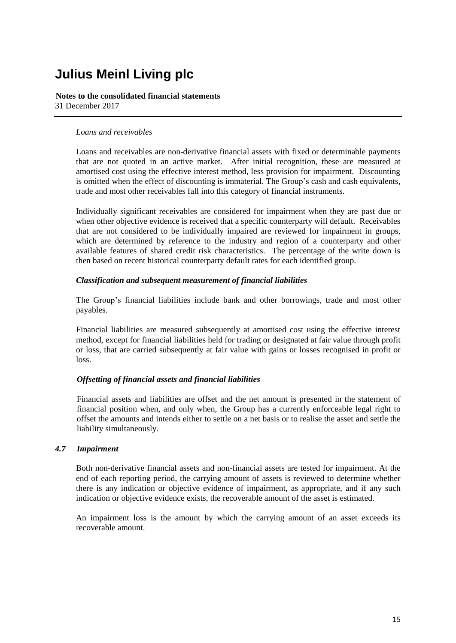### **Notes to the consolidated financial statements** 31 December 2017

### *Loans and receivables*

Loans and receivables are non-derivative financial assets with fixed or determinable payments that are not quoted in an active market. After initial recognition, these are measured at amortised cost using the effective interest method, less provision for impairment. Discounting is omitted when the effect of discounting is immaterial. The Group's cash and cash equivalents, trade and most other receivables fall into this category of financial instruments.

Individually significant receivables are considered for impairment when they are past due or when other objective evidence is received that a specific counterparty will default. Receivables that are not considered to be individually impaired are reviewed for impairment in groups, which are determined by reference to the industry and region of a counterparty and other available features of shared credit risk characteristics. The percentage of the write down is then based on recent historical counterparty default rates for each identified group.

### *Classification and subsequent measurement of financial liabilities*

The Group's financial liabilities include bank and other borrowings, trade and most other payables.

Financial liabilities are measured subsequently at amortised cost using the effective interest method, except for financial liabilities held for trading or designated at fair value through profit or loss, that are carried subsequently at fair value with gains or losses recognised in profit or loss.

### *Offsetting of financial assets and financial liabilities*

Financial assets and liabilities are offset and the net amount is presented in the statement of financial position when, and only when, the Group has a currently enforceable legal right to offset the amounts and intends either to settle on a net basis or to realise the asset and settle the liability simultaneously.

### *4.7 Impairment*

Both non-derivative financial assets and non-financial assets are tested for impairment. At the end of each reporting period, the carrying amount of assets is reviewed to determine whether there is any indication or objective evidence of impairment, as appropriate, and if any such indication or objective evidence exists, the recoverable amount of the asset is estimated.

An impairment loss is the amount by which the carrying amount of an asset exceeds its recoverable amount.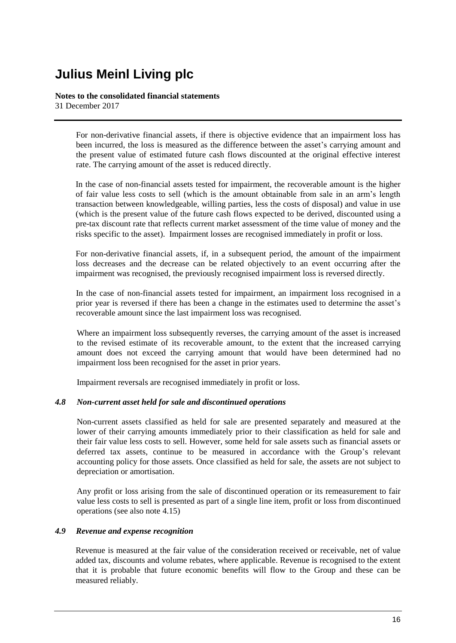#### **Notes to the consolidated financial statements** 31 December 2017

For non-derivative financial assets, if there is objective evidence that an impairment loss has been incurred, the loss is measured as the difference between the asset's carrying amount and the present value of estimated future cash flows discounted at the original effective interest rate. The carrying amount of the asset is reduced directly.

In the case of non-financial assets tested for impairment, the recoverable amount is the higher of fair value less costs to sell (which is the amount obtainable from sale in an arm's length transaction between knowledgeable, willing parties, less the costs of disposal) and value in use (which is the present value of the future cash flows expected to be derived, discounted using a pre-tax discount rate that reflects current market assessment of the time value of money and the risks specific to the asset). Impairment losses are recognised immediately in profit or loss.

For non-derivative financial assets, if, in a subsequent period, the amount of the impairment loss decreases and the decrease can be related objectively to an event occurring after the impairment was recognised, the previously recognised impairment loss is reversed directly.

In the case of non-financial assets tested for impairment, an impairment loss recognised in a prior year is reversed if there has been a change in the estimates used to determine the asset's recoverable amount since the last impairment loss was recognised.

Where an impairment loss subsequently reverses, the carrying amount of the asset is increased to the revised estimate of its recoverable amount, to the extent that the increased carrying amount does not exceed the carrying amount that would have been determined had no impairment loss been recognised for the asset in prior years.

Impairment reversals are recognised immediately in profit or loss.

### *4.8 Non-current asset held for sale and discontinued operations*

Non-current assets classified as held for sale are presented separately and measured at the lower of their carrying amounts immediately prior to their classification as held for sale and their fair value less costs to sell. However, some held for sale assets such as financial assets or deferred tax assets, continue to be measured in accordance with the Group's relevant accounting policy for those assets. Once classified as held for sale, the assets are not subject to depreciation or amortisation.

Any profit or loss arising from the sale of discontinued operation or its remeasurement to fair value less costs to sell is presented as part of a single line item, profit or loss from discontinued operations (see also note 4.15)

### *4.9 Revenue and expense recognition*

Revenue is measured at the fair value of the consideration received or receivable, net of value added tax, discounts and volume rebates, where applicable. Revenue is recognised to the extent that it is probable that future economic benefits will flow to the Group and these can be measured reliably.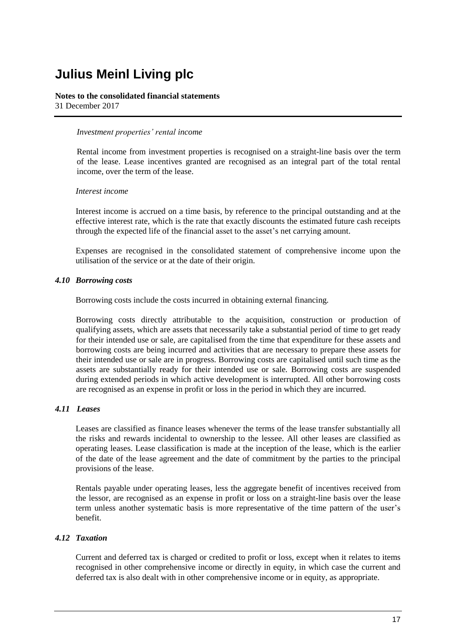#### **Notes to the consolidated financial statements** 31 December 2017

#### *Investment properties' rental income*

Rental income from investment properties is recognised on a straight-line basis over the term of the lease. Lease incentives granted are recognised as an integral part of the total rental income, over the term of the lease.

#### *Interest income*

Interest income is accrued on a time basis, by reference to the principal outstanding and at the effective interest rate, which is the rate that exactly discounts the estimated future cash receipts through the expected life of the financial asset to the asset's net carrying amount.

Expenses are recognised in the consolidated statement of comprehensive income upon the utilisation of the service or at the date of their origin.

### *4.10 Borrowing costs*

Borrowing costs include the costs incurred in obtaining external financing.

Borrowing costs directly attributable to the acquisition, construction or production of qualifying assets, which are assets that necessarily take a substantial period of time to get ready for their intended use or sale, are capitalised from the time that expenditure for these assets and borrowing costs are being incurred and activities that are necessary to prepare these assets for their intended use or sale are in progress. Borrowing costs are capitalised until such time as the assets are substantially ready for their intended use or sale*.* Borrowing costs are suspended during extended periods in which active development is interrupted. All other borrowing costs are recognised as an expense in profit or loss in the period in which they are incurred.

### *4.11 Leases*

Leases are classified as finance leases whenever the terms of the lease transfer substantially all the risks and rewards incidental to ownership to the lessee. All other leases are classified as operating leases. Lease classification is made at the inception of the lease, which is the earlier of the date of the lease agreement and the date of commitment by the parties to the principal provisions of the lease.

Rentals payable under operating leases, less the aggregate benefit of incentives received from the lessor, are recognised as an expense in profit or loss on a straight-line basis over the lease term unless another systematic basis is more representative of the time pattern of the user's benefit.

### *4.12 Taxation*

Current and deferred tax is charged or credited to profit or loss, except when it relates to items recognised in other comprehensive income or directly in equity, in which case the current and deferred tax is also dealt with in other comprehensive income or in equity, as appropriate.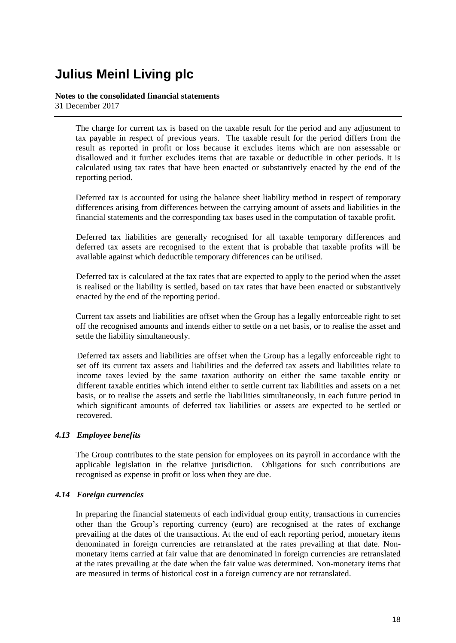### **Notes to the consolidated financial statements** 31 December 2017

The charge for current tax is based on the taxable result for the period and any adjustment to tax payable in respect of previous years. The taxable result for the period differs from the result as reported in profit or loss because it excludes items which are non assessable or disallowed and it further excludes items that are taxable or deductible in other periods. It is calculated using tax rates that have been enacted or substantively enacted by the end of the reporting period.

Deferred tax is accounted for using the balance sheet liability method in respect of temporary differences arising from differences between the carrying amount of assets and liabilities in the financial statements and the corresponding tax bases used in the computation of taxable profit.

Deferred tax liabilities are generally recognised for all taxable temporary differences and deferred tax assets are recognised to the extent that is probable that taxable profits will be available against which deductible temporary differences can be utilised.

Deferred tax is calculated at the tax rates that are expected to apply to the period when the asset is realised or the liability is settled, based on tax rates that have been enacted or substantively enacted by the end of the reporting period.

Current tax assets and liabilities are offset when the Group has a legally enforceable right to set off the recognised amounts and intends either to settle on a net basis, or to realise the asset and settle the liability simultaneously.

Deferred tax assets and liabilities are offset when the Group has a legally enforceable right to set off its current tax assets and liabilities and the deferred tax assets and liabilities relate to income taxes levied by the same taxation authority on either the same taxable entity or different taxable entities which intend either to settle current tax liabilities and assets on a net basis, or to realise the assets and settle the liabilities simultaneously, in each future period in which significant amounts of deferred tax liabilities or assets are expected to be settled or recovered.

### *4.13 Employee benefits*

The Group contributes to the state pension for employees on its payroll in accordance with the applicable legislation in the relative jurisdiction. Obligations for such contributions are recognised as expense in profit or loss when they are due.

### *4.14 Foreign currencies*

In preparing the financial statements of each individual group entity, transactions in currencies other than the Group's reporting currency (euro) are recognised at the rates of exchange prevailing at the dates of the transactions. At the end of each reporting period, monetary items denominated in foreign currencies are retranslated at the rates prevailing at that date. Nonmonetary items carried at fair value that are denominated in foreign currencies are retranslated at the rates prevailing at the date when the fair value was determined. Non-monetary items that are measured in terms of historical cost in a foreign currency are not retranslated.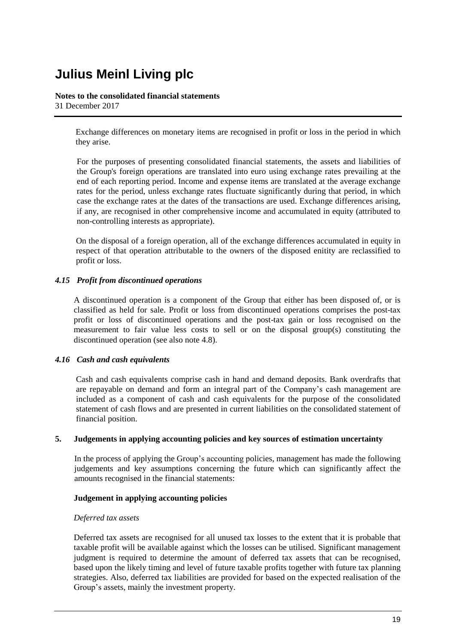#### **Notes to the consolidated financial statements** 31 December 2017

Exchange differences on monetary items are recognised in profit or loss in the period in which they arise.

For the purposes of presenting consolidated financial statements, the assets and liabilities of the Group's foreign operations are translated into euro using exchange rates prevailing at the end of each reporting period. Income and expense items are translated at the average exchange rates for the period, unless exchange rates fluctuate significantly during that period, in which case the exchange rates at the dates of the transactions are used. Exchange differences arising, if any, are recognised in other comprehensive income and accumulated in equity (attributed to non-controlling interests as appropriate).

On the disposal of a foreign operation, all of the exchange differences accumulated in equity in respect of that operation attributable to the owners of the disposed enitity are reclassified to profit or loss.

### *4.15 Profit from discontinued operations*

A discontinued operation is a component of the Group that either has been disposed of, or is classified as held for sale. Profit or loss from discontinued operations comprises the post-tax profit or loss of discontinued operations and the post-tax gain or loss recognised on the measurement to fair value less costs to sell or on the disposal group(s) constituting the discontinued operation (see also note 4.8).

### *4.16 Cash and cash equivalents*

Cash and cash equivalents comprise cash in hand and demand deposits. Bank overdrafts that are repayable on demand and form an integral part of the Company's cash management are included as a component of cash and cash equivalents for the purpose of the consolidated statement of cash flows and are presented in current liabilities on the consolidated statement of financial position.

### **5. Judgements in applying accounting policies and key sources of estimation uncertainty**

In the process of applying the Group's accounting policies, management has made the following judgements and key assumptions concerning the future which can significantly affect the amounts recognised in the financial statements:

### **Judgement in applying accounting policies**

### *Deferred tax assets*

Deferred tax assets are recognised for all unused tax losses to the extent that it is probable that taxable profit will be available against which the losses can be utilised. Significant management judgment is required to determine the amount of deferred tax assets that can be recognised, based upon the likely timing and level of future taxable profits together with future tax planning strategies. Also, deferred tax liabilities are provided for based on the expected realisation of the Group's assets, mainly the investment property.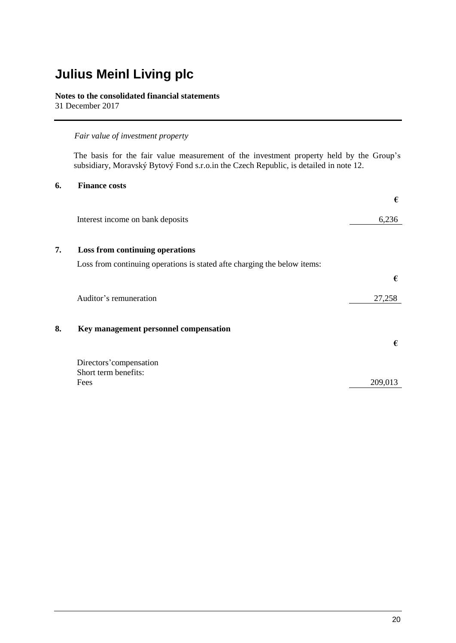### **Notes to the consolidated financial statements**

31 December 2017

### *Fair value of investment property*

The basis for the fair value measurement of the investment property held by the Group's subsidiary, Moravský Bytový Fond s.r.o.in the Czech Republic, is detailed in note 12.

### **6. Finance costs**

|    |                                                                          | €       |
|----|--------------------------------------------------------------------------|---------|
|    | Interest income on bank deposits                                         | 6,236   |
| 7. | Loss from continuing operations                                          |         |
|    | Loss from continuing operations is stated afte charging the below items: |         |
|    |                                                                          | €       |
|    | Auditor's remuneration                                                   | 27,258  |
| 8. | Key management personnel compensation                                    | €       |
|    | Directors' compensation                                                  |         |
|    | Short term benefits:                                                     |         |
|    | Fees                                                                     | 209,013 |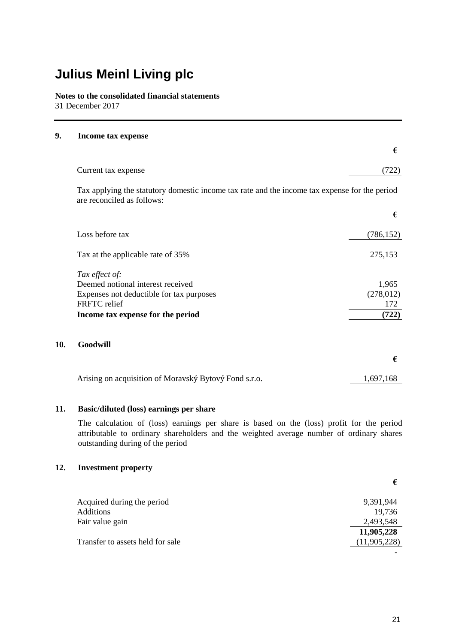**Notes to the consolidated financial statements** 31 December 2017

### **9. Income tax expense**

|                                                                                                                             | €          |
|-----------------------------------------------------------------------------------------------------------------------------|------------|
| Current tax expense                                                                                                         | (722)      |
| Tax applying the statutory domestic income tax rate and the income tax expense for the period<br>are reconciled as follows: |            |
|                                                                                                                             | €          |
| Loss before tax                                                                                                             | (786, 152) |
| Tax at the applicable rate of 35%                                                                                           | 275,153    |
| Tax effect of:                                                                                                              |            |
| Deemed notional interest received                                                                                           | 1,965      |
| Expenses not deductible for tax purposes                                                                                    | (278, 012) |
| FRFTC relief                                                                                                                | 172        |
| Income tax expense for the period                                                                                           | (722)      |
| Goodwill                                                                                                                    |            |
|                                                                                                                             | €          |
|                                                                                                                             |            |

### **11. Basic/diluted (loss) earnings per share**

The calculation of (loss) earnings per share is based on the (loss) profit for the period attributable to ordinary shareholders and the weighted average number of ordinary shares outstanding during of the period

Arising on acquisition of Moravský Bytový Fond s.r.o. 1,697,168

### **12. Investment property**

**10.** 

| Acquired during the period       | 9,391,944      |
|----------------------------------|----------------|
| <b>Additions</b>                 | 19,736         |
| Fair value gain                  | 2,493,548      |
|                                  | 11,905,228     |
| Transfer to assets held for sale | (11, 905, 228) |
|                                  |                |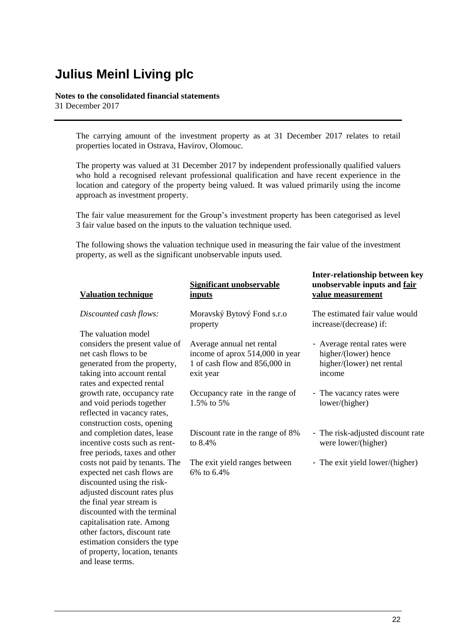### **Notes to the consolidated financial statements**

31 December 2017

The carrying amount of the investment property as at 31 December 2017 relates to retail properties located in Ostrava, Havirov, Olomouc.

The property was valued at 31 December 2017 by independent professionally qualified valuers who hold a recognised relevant professional qualification and have recent experience in the location and category of the property being valued. It was valued primarily using the income approach as investment property.

The fair value measurement for the Group's investment property has been categorised as level 3 fair value based on the inputs to the valuation technique used.

The following shows the valuation technique used in measuring the fair value of the investment property, as well as the significant unobservable inputs used.

| <b>Significant unobservable</b>             | unobservable inputs and fair      |
|---------------------------------------------|-----------------------------------|
| inputs                                      | value measurement                 |
| Moravský Bytový Fond s.r.o                  | The estimated fair value would    |
| property                                    | increase/(decrease) if:           |
| Average annual net rental                   | - Average rental rates were       |
| income of aprox 514,000 in year             | higher/(lower) hence              |
| 1 of cash flow and 856,000 in               | higher/(lower) net rental         |
| exit year                                   | income                            |
| Occupancy rate in the range of              | - The vacancy rates were          |
| 1.5% to 5%                                  | lower/(higher)                    |
| Discount rate in the range of 8%            | - The risk-adjusted discount rate |
| to 8.4%                                     | were lower/(higher)               |
| The exit yield ranges between<br>6% to 6.4% | - The exit yield lower/(higher)   |
|                                             |                                   |

**Inter-relationship between key**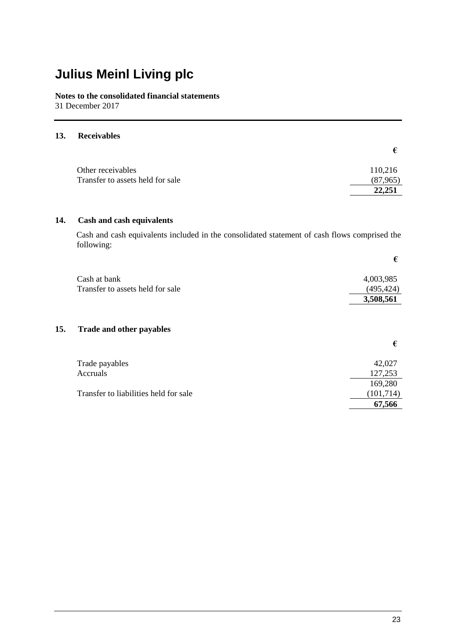**Notes to the consolidated financial statements**  31 December 2017

#### **13. Receivables**

| Other receivables                | 110,216  |
|----------------------------------|----------|
| Transfer to assets held for sale | (87,965) |
|                                  | 22,251   |

### **14. Cash and cash equivalents**

Cash and cash equivalents included in the consolidated statement of cash flows comprised the following:

| Cash at bank                     | 4,003,985 |
|----------------------------------|-----------|
| Transfer to assets held for sale | (495,424) |
|                                  | 3,508,561 |

### **15. Trade and other payables**

|                                       | €         |
|---------------------------------------|-----------|
| Trade payables                        | 42,027    |
| Accruals                              | 127,253   |
|                                       | 169,280   |
| Transfer to liabilities held for sale | (101,714) |
|                                       | 67,566    |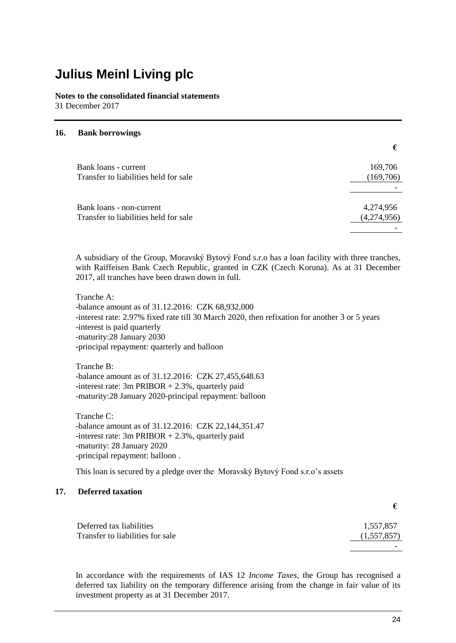**Notes to the consolidated financial statements** 31 December 2017

#### **16. Bank borrowings**

| Bank loans - current                                              | 169,706                  |
|-------------------------------------------------------------------|--------------------------|
| Transfer to liabilities held for sale                             | (169,706)                |
|                                                                   |                          |
| Bank loans - non-current<br>Transfer to liabilities held for sale | 4,274,956<br>(4,274,956) |
|                                                                   |                          |

A subsidiary of the Group, Moravský Bytový Fond s.r.o has a loan facility with three tranches, with Raiffeisen Bank Czech Republic, granted in CZK (Czech Koruna). As at 31 December 2017, all tranches have been drawn down in full.

Tranche A: -balance amount as of 31.12.2016: CZK 68,932,000 -interest rate: 2.97% fixed rate till 30 March 2020, then refixation for another 3 or 5 years -interest is paid quarterly -maturity:28 January 2030 -principal repayment: quarterly and balloon

Tranche B: -balance amount as of 31.12.2016: CZK 27,455,648.63 -interest rate:  $3m$  PRIBOR  $+ 2.3\%$ , quarterly paid -maturity:28 January 2020-principal repayment: balloon

Tranche C: -balance amount as of 31.12.2016: CZK 22,144,351.47 -interest rate:  $3m$  PRIBOR  $+ 2.3\%$ , quarterly paid -maturity: 28 January 2020 -principal repayment: balloon .

This loan is secured by a pledge over the Moravský Bytový Fond s.r.o's assets

### **17. Deferred taxation**

| Deferred tax liabilities         | 1,557,857   |
|----------------------------------|-------------|
| Transfer to liabilities for sale | (1,557,857) |
|                                  |             |

In accordance with the requirements of IAS 12 *Income Taxes*, the Group has recognised a deferred tax liability on the temporary difference arising from the change in fair value of its investment property as at 31 December 2017.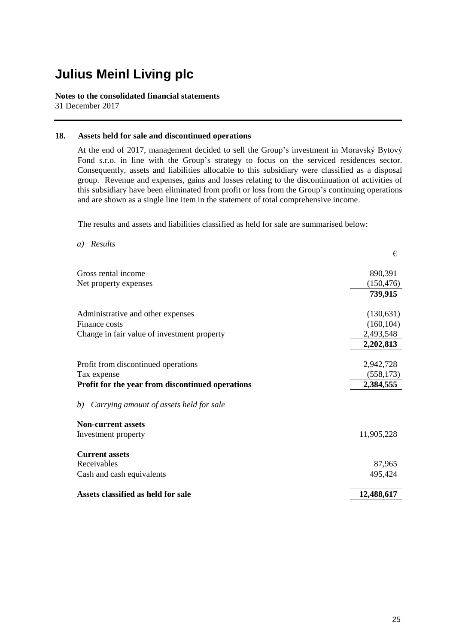#### **Notes to the consolidated financial statements** 31 December 2017

### **18. Assets held for sale and discontinued operations**

At the end of 2017, management decided to sell the Group's investment in Moravský Bytový Fond s.r.o. in line with the Group's strategy to focus on the serviced residences sector. Consequently, assets and liabilities allocable to this subsidiary were classified as a disposal group. Revenue and expenses, gains and losses relating to the discontinuation of activities of this subsidiary have been eliminated from profit or loss from the Group's continuing operations and are shown as a single line item in the statement of total comprehensive income.

The results and assets and liabilities classified as held for sale are summarised below:

| Results<br>a)                                    |            |
|--------------------------------------------------|------------|
|                                                  | €          |
| Gross rental income                              | 890,391    |
| Net property expenses                            | (150, 476) |
|                                                  | 739,915    |
|                                                  |            |
| Administrative and other expenses                | (130,631)  |
| Finance costs                                    | (160, 104) |
| Change in fair value of investment property      | 2,493,548  |
|                                                  | 2,202,813  |
|                                                  |            |
| Profit from discontinued operations              | 2,942,728  |
| Tax expense                                      | (558, 173) |
| Profit for the year from discontinued operations | 2,384,555  |
| Carrying amount of assets held for sale<br>b)    |            |
| <b>Non-current assets</b>                        |            |
| Investment property                              | 11,905,228 |
| <b>Current assets</b>                            |            |
| Receivables                                      | 87,965     |
| Cash and cash equivalents                        | 495,424    |
|                                                  |            |
| Assets classified as held for sale               | 12,488,617 |
|                                                  |            |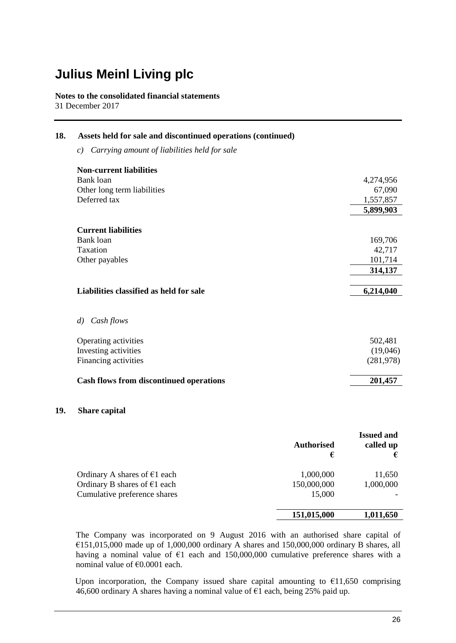**Notes to the consolidated financial statements** 31 December 2017

| Assets held for sale and discontinued operations (continued) |                      |
|--------------------------------------------------------------|----------------------|
| Carrying amount of liabilities held for sale<br>c)           |                      |
| <b>Non-current liabilities</b>                               |                      |
| Bank loan                                                    | 4,274,956            |
| Other long term liabilities                                  | 67,090               |
| Deferred tax                                                 | 1,557,857            |
|                                                              | 5,899,903            |
| <b>Current liabilities</b>                                   |                      |
| Bank loan                                                    | 169,706              |
| Taxation                                                     | 42,717               |
| Other payables                                               | 101,714              |
|                                                              | 314,137              |
| Liabilities classified as held for sale                      | 6,214,040            |
| Cash flows<br>$\left( d\right)$                              |                      |
|                                                              | 502,481              |
| Investing activities                                         | (19,046)             |
| Financing activities                                         | (281,978)            |
| <b>Cash flows from discontinued operations</b>               | 201,457              |
|                                                              | Operating activities |

### **19. Share capital**

|                                | <b>Authorised</b><br>€ | <b>Issued and</b><br>called up<br>€ |
|--------------------------------|------------------------|-------------------------------------|
| Ordinary A shares of $E1$ each | 1,000,000              | 11,650                              |
| Ordinary B shares of $E1$ each | 150,000,000            | 1,000,000                           |
| Cumulative preference shares   | 15,000                 |                                     |
|                                | 151,015,000            | 1,011,650                           |

The Company was incorporated on 9 August 2016 with an authorised share capital of €151,015,000 made up of 1,000,000 ordinary A shares and 150,000,000 ordinary B shares, all having a nominal value of  $\epsilon$ 1 each and 150,000,000 cumulative preference shares with a nominal value of €0.0001 each.

Upon incorporation, the Company issued share capital amounting to  $£11,650$  comprising  $46,600$  ordinary A shares having a nominal value of  $\epsilon_1$  each, being 25% paid up.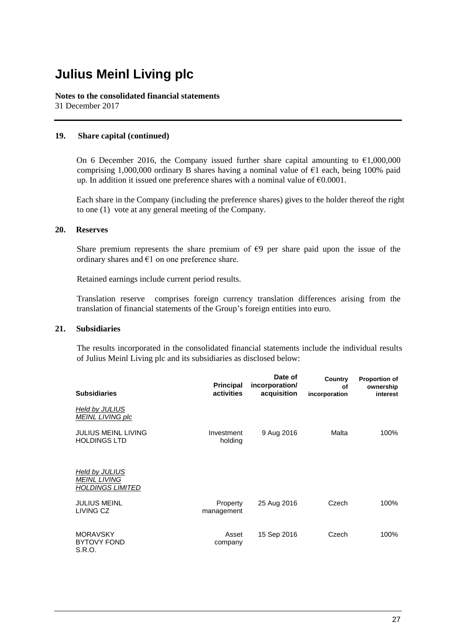**Notes to the consolidated financial statements** 31 December 2017

#### **19. Share capital (continued)**

On 6 December 2016, the Company issued further share capital amounting to  $\epsilon$ 1,000,000 comprising 1,000,000 ordinary B shares having a nominal value of  $\epsilon$ 1 each, being 100% paid up. In addition it issued one preference shares with a nominal value of  $\epsilon 0.0001$ .

Each share in the Company (including the preference shares) gives to the holder thereof the right to one (1) vote at any general meeting of the Company.

#### **20. Reserves**

Share premium represents the share premium of  $\epsilon$ 9 per share paid upon the issue of the ordinary shares and  $\epsilon$ 1 on one preference share.

Retained earnings include current period results.

Translation reserve comprises foreign currency translation differences arising from the translation of financial statements of the Group's foreign entities into euro.

#### **21. Subsidiaries**

The results incorporated in the consolidated financial statements include the individual results of Julius Meinl Living plc and its subsidiaries as disclosed below:

| <b>Subsidiaries</b>                                              | <b>Principal</b><br>activities | Date of<br>incorporation/<br>acquisition | Country<br>οf<br>incorporation | <b>Proportion of</b><br>ownership<br>interest |
|------------------------------------------------------------------|--------------------------------|------------------------------------------|--------------------------------|-----------------------------------------------|
| Held by JULIUS<br><b>MEINL LIVING plc</b>                        |                                |                                          |                                |                                               |
| <b>JULIUS MEINL LIVING</b><br><b>HOLDINGS LTD</b>                | Investment<br>holding          | 9 Aug 2016                               | Malta                          | 100%                                          |
| Held by JULIUS<br><b>MEINL LIVING</b><br><u>HOLDINGS LIMITED</u> |                                |                                          |                                |                                               |
| <b>JULIUS MEINL</b><br>LIVING CZ                                 | Property<br>management         | 25 Aug 2016                              | Czech                          | 100%                                          |
| <b>MORAVSKY</b><br><b>BYTOVY FOND</b><br>S.R.O.                  | Asset<br>company               | 15 Sep 2016                              | Czech                          | 100%                                          |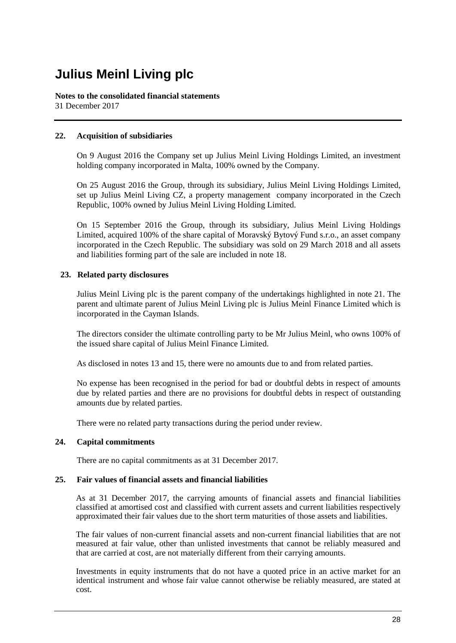**Notes to the consolidated financial statements** 31 December 2017

### **22. Acquisition of subsidiaries**

On 9 August 2016 the Company set up Julius Meinl Living Holdings Limited, an investment holding company incorporated in Malta, 100% owned by the Company.

On 25 August 2016 the Group, through its subsidiary, Julius Meinl Living Holdings Limited, set up Julius Meinl Living CZ, a property management company incorporated in the Czech Republic, 100% owned by Julius Meinl Living Holding Limited.

On 15 September 2016 the Group, through its subsidiary, Julius Meinl Living Holdings Limited, acquired 100% of the share capital of Moravský Bytový Fund s.r.o., an asset company incorporated in the Czech Republic. The subsidiary was sold on 29 March 2018 and all assets and liabilities forming part of the sale are included in note 18.

### **23. Related party disclosures**

Julius Meinl Living plc is the parent company of the undertakings highlighted in note 21. The parent and ultimate parent of Julius Meinl Living plc is Julius Meinl Finance Limited which is incorporated in the Cayman Islands.

The directors consider the ultimate controlling party to be Mr Julius Meinl, who owns 100% of the issued share capital of Julius Meinl Finance Limited.

As disclosed in notes 13 and 15, there were no amounts due to and from related parties.

No expense has been recognised in the period for bad or doubtful debts in respect of amounts due by related parties and there are no provisions for doubtful debts in respect of outstanding amounts due by related parties.

There were no related party transactions during the period under review.

### **24. Capital commitments**

There are no capital commitments as at 31 December 2017.

### **25. Fair values of financial assets and financial liabilities**

As at 31 December 2017, the carrying amounts of financial assets and financial liabilities classified at amortised cost and classified with current assets and current liabilities respectively approximated their fair values due to the short term maturities of those assets and liabilities.

The fair values of non-current financial assets and non-current financial liabilities that are not measured at fair value, other than unlisted investments that cannot be reliably measured and that are carried at cost, are not materially different from their carrying amounts.

Investments in equity instruments that do not have a quoted price in an active market for an identical instrument and whose fair value cannot otherwise be reliably measured, are stated at cost.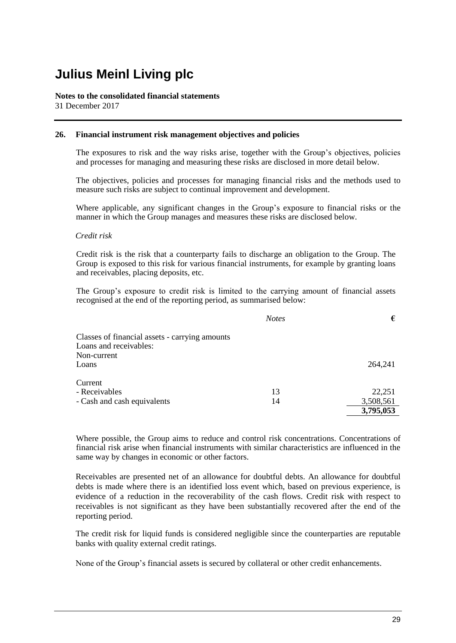#### **Notes to the consolidated financial statements** 31 December 2017

#### **26. Financial instrument risk management objectives and policies**

The exposures to risk and the way risks arise, together with the Group's objectives, policies and processes for managing and measuring these risks are disclosed in more detail below.

The objectives, policies and processes for managing financial risks and the methods used to measure such risks are subject to continual improvement and development.

Where applicable, any significant changes in the Group's exposure to financial risks or the manner in which the Group manages and measures these risks are disclosed below.

#### *Credit risk*

Credit risk is the risk that a counterparty fails to discharge an obligation to the Group. The Group is exposed to this risk for various financial instruments, for example by granting loans and receivables, placing deposits, etc.

The Group's exposure to credit risk is limited to the carrying amount of financial assets recognised at the end of the reporting period, as summarised below:

|                                                | <b>Notes</b> | €         |
|------------------------------------------------|--------------|-----------|
| Classes of financial assets - carrying amounts |              |           |
| Loans and receivables:                         |              |           |
| Non-current                                    |              |           |
| Loans                                          |              | 264,241   |
| Current                                        |              |           |
| - Receivables                                  | 13           | 22,251    |
| - Cash and cash equivalents                    | 14           | 3,508,561 |
|                                                |              | 3,795,053 |

Where possible, the Group aims to reduce and control risk concentrations. Concentrations of financial risk arise when financial instruments with similar characteristics are influenced in the same way by changes in economic or other factors.

Receivables are presented net of an allowance for doubtful debts. An allowance for doubtful debts is made where there is an identified loss event which, based on previous experience, is evidence of a reduction in the recoverability of the cash flows. Credit risk with respect to receivables is not significant as they have been substantially recovered after the end of the reporting period.

The credit risk for liquid funds is considered negligible since the counterparties are reputable banks with quality external credit ratings.

None of the Group's financial assets is secured by collateral or other credit enhancements.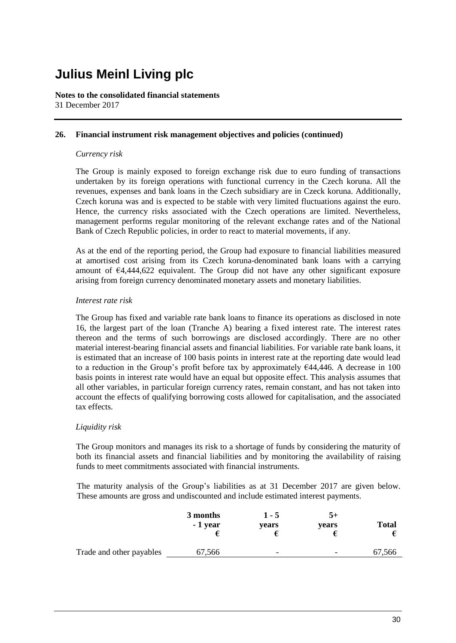**Notes to the consolidated financial statements** 31 December 2017

### **26. Financial instrument risk management objectives and policies (continued)**

#### *Currency risk*

The Group is mainly exposed to foreign exchange risk due to euro funding of transactions undertaken by its foreign operations with functional currency in the Czech koruna. All the revenues, expenses and bank loans in the Czech subsidiary are in Czeck koruna. Additionally, Czech koruna was and is expected to be stable with very limited fluctuations against the euro. Hence, the currency risks associated with the Czech operations are limited. Nevertheless, management performs regular monitoring of the relevant exchange rates and of the National Bank of Czech Republic policies, in order to react to material movements, if any.

As at the end of the reporting period, the Group had exposure to financial liabilities measured at amortised cost arising from its Czech koruna-denominated bank loans with a carrying amount of €4,444,622 equivalent. The Group did not have any other significant exposure arising from foreign currency denominated monetary assets and monetary liabilities.

#### *Interest rate risk*

The Group has fixed and variable rate bank loans to finance its operations as disclosed in note 16, the largest part of the loan (Tranche A) bearing a fixed interest rate. The interest rates thereon and the terms of such borrowings are disclosed accordingly. There are no other material interest-bearing financial assets and financial liabilities. For variable rate bank loans, it is estimated that an increase of 100 basis points in interest rate at the reporting date would lead to a reduction in the Group's profit before tax by approximately €44,446*.* A decrease in 100 basis points in interest rate would have an equal but opposite effect. This analysis assumes that all other variables, in particular foreign currency rates, remain constant, and has not taken into account the effects of qualifying borrowing costs allowed for capitalisation, and the associated tax effects.

### *Liquidity risk*

The Group monitors and manages its risk to a shortage of funds by considering the maturity of both its financial assets and financial liabilities and by monitoring the availability of raising funds to meet commitments associated with financial instruments.

The maturity analysis of the Group's liabilities as at 31 December 2017 are given below. These amounts are gross and undiscounted and include estimated interest payments.

|                          | 3 months<br>- 1 year | $1 - 5$<br>years         | 5+<br>years | <b>Total</b> |
|--------------------------|----------------------|--------------------------|-------------|--------------|
| Trade and other payables | 67,566               | $\overline{\phantom{a}}$ | -           | 67,566       |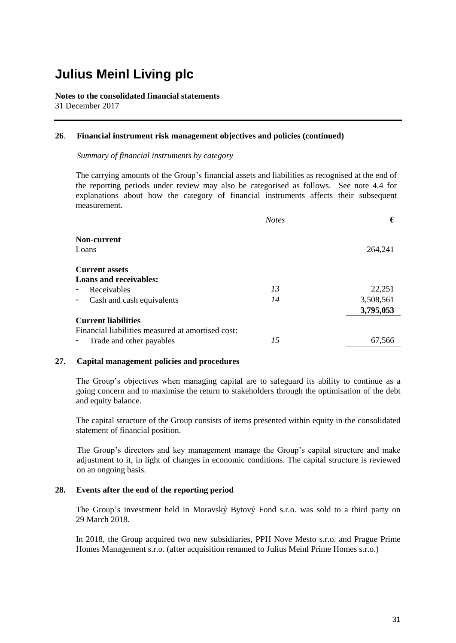**Notes to the consolidated financial statements** 31 December 2017

#### **26**. **Financial instrument risk management objectives and policies (continued)**

*Summary of financial instruments by category*

The carrying amounts of the Group's financial assets and liabilities as recognised at the end of the reporting periods under review may also be categorised as follows. See note 4.4 for explanations about how the category of financial instruments affects their subsequent measurement.

|                                                   | <b>Notes</b> | €         |
|---------------------------------------------------|--------------|-----------|
| Non-current                                       |              |           |
| Loans                                             |              | 264,241   |
| <b>Current assets</b>                             |              |           |
| <b>Loans and receivables:</b>                     |              |           |
| Receivables                                       | 13           | 22,251    |
| Cash and cash equivalents                         | 14           | 3,508,561 |
|                                                   |              | 3,795,053 |
| <b>Current liabilities</b>                        |              |           |
| Financial liabilities measured at amortised cost: |              |           |
| Trade and other payables                          | 15           | 67.566    |

#### **27. Capital management policies and procedures**

The Group's objectives when managing capital are to safeguard its ability to continue as a going concern and to maximise the return to stakeholders through the optimisation of the debt and equity balance.

The capital structure of the Group consists of items presented within equity in the consolidated statement of financial position.

The Group's directors and key management manage the Group's capital structure and make adjustment to it, in light of changes in economic conditions. The capital structure is reviewed on an ongoing basis.

### **28. Events after the end of the reporting period**

The Group's investment held in Moravský Bytový Fond s.r.o. was sold to a third party on 29 March 2018.

In 2018, the Group acquired two new subsidiaries, PPH Nove Mesto s.r.o. and Prague Prime Homes Management s.r.o. (after acquisition renamed to Julius Meinl Prime Homes s.r.o.)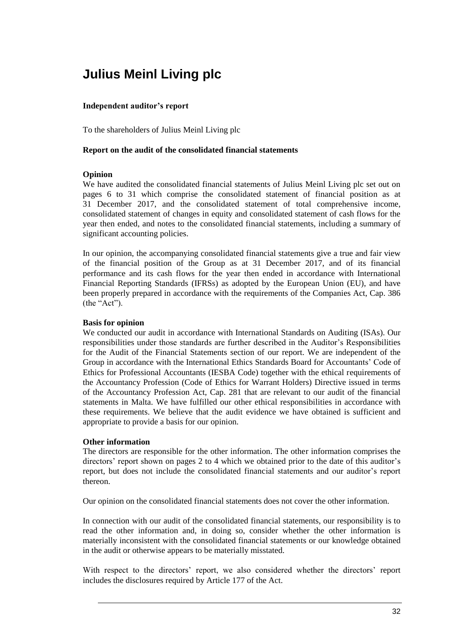### **Independent auditor's report**

To the shareholders of Julius Meinl Living plc

### **Report on the audit of the consolidated financial statements**

### **Opinion**

We have audited the consolidated financial statements of Julius Meinl Living plc set out on pages 6 to 31 which comprise the consolidated statement of financial position as at 31 December 2017, and the consolidated statement of total comprehensive income, consolidated statement of changes in equity and consolidated statement of cash flows for the year then ended, and notes to the consolidated financial statements, including a summary of significant accounting policies.

In our opinion, the accompanying consolidated financial statements give a true and fair view of the financial position of the Group as at 31 December 2017, and of its financial performance and its cash flows for the year then ended in accordance with International Financial Reporting Standards (IFRSs) as adopted by the European Union (EU), and have been properly prepared in accordance with the requirements of the Companies Act, Cap. 386 (the "Act").

### **Basis for opinion**

We conducted our audit in accordance with International Standards on Auditing (ISAs). Our responsibilities under those standards are further described in the Auditor's Responsibilities for the Audit of the Financial Statements section of our report. We are independent of the Group in accordance with the International Ethics Standards Board for Accountants' Code of Ethics for Professional Accountants (IESBA Code) together with the ethical requirements of the Accountancy Profession (Code of Ethics for Warrant Holders) Directive issued in terms of the Accountancy Profession Act, Cap. 281 that are relevant to our audit of the financial statements in Malta. We have fulfilled our other ethical responsibilities in accordance with these requirements. We believe that the audit evidence we have obtained is sufficient and appropriate to provide a basis for our opinion.

### **Other information**

The directors are responsible for the other information. The other information comprises the directors' report shown on pages 2 to 4 which we obtained prior to the date of this auditor's report, but does not include the consolidated financial statements and our auditor's report thereon.

Our opinion on the consolidated financial statements does not cover the other information.

In connection with our audit of the consolidated financial statements, our responsibility is to read the other information and, in doing so, consider whether the other information is materially inconsistent with the consolidated financial statements or our knowledge obtained in the audit or otherwise appears to be materially misstated.

With respect to the directors' report, we also considered whether the directors' report includes the disclosures required by Article 177 of the Act.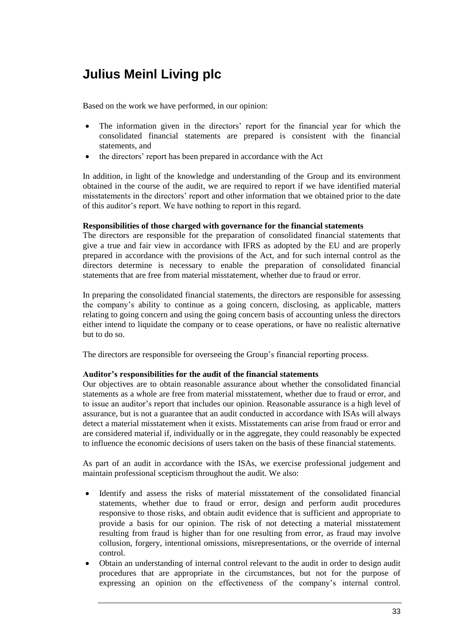Based on the work we have performed, in our opinion:

- The information given in the directors' report for the financial year for which the consolidated financial statements are prepared is consistent with the financial statements, and
- the directors' report has been prepared in accordance with the Act

In addition, in light of the knowledge and understanding of the Group and its environment obtained in the course of the audit, we are required to report if we have identified material misstatements in the directors' report and other information that we obtained prior to the date of this auditor's report. We have nothing to report in this regard.

### **Responsibilities of those charged with governance for the financial statements**

The directors are responsible for the preparation of consolidated financial statements that give a true and fair view in accordance with IFRS as adopted by the EU and are properly prepared in accordance with the provisions of the Act, and for such internal control as the directors determine is necessary to enable the preparation of consolidated financial statements that are free from material misstatement, whether due to fraud or error.

In preparing the consolidated financial statements, the directors are responsible for assessing the company's ability to continue as a going concern, disclosing, as applicable, matters relating to going concern and using the going concern basis of accounting unless the directors either intend to liquidate the company or to cease operations, or have no realistic alternative but to do so.

The directors are responsible for overseeing the Group's financial reporting process.

### **Auditor's responsibilities for the audit of the financial statements**

Our objectives are to obtain reasonable assurance about whether the consolidated financial statements as a whole are free from material misstatement, whether due to fraud or error, and to issue an auditor's report that includes our opinion. Reasonable assurance is a high level of assurance, but is not a guarantee that an audit conducted in accordance with ISAs will always detect a material misstatement when it exists. Misstatements can arise from fraud or error and are considered material if, individually or in the aggregate, they could reasonably be expected to influence the economic decisions of users taken on the basis of these financial statements.

As part of an audit in accordance with the ISAs, we exercise professional judgement and maintain professional scepticism throughout the audit. We also:

- Identify and assess the risks of material misstatement of the consolidated financial statements, whether due to fraud or error, design and perform audit procedures responsive to those risks, and obtain audit evidence that is sufficient and appropriate to provide a basis for our opinion. The risk of not detecting a material misstatement resulting from fraud is higher than for one resulting from error, as fraud may involve collusion, forgery, intentional omissions, misrepresentations, or the override of internal control.
- Obtain an understanding of internal control relevant to the audit in order to design audit procedures that are appropriate in the circumstances, but not for the purpose of expressing an opinion on the effectiveness of the company's internal control.